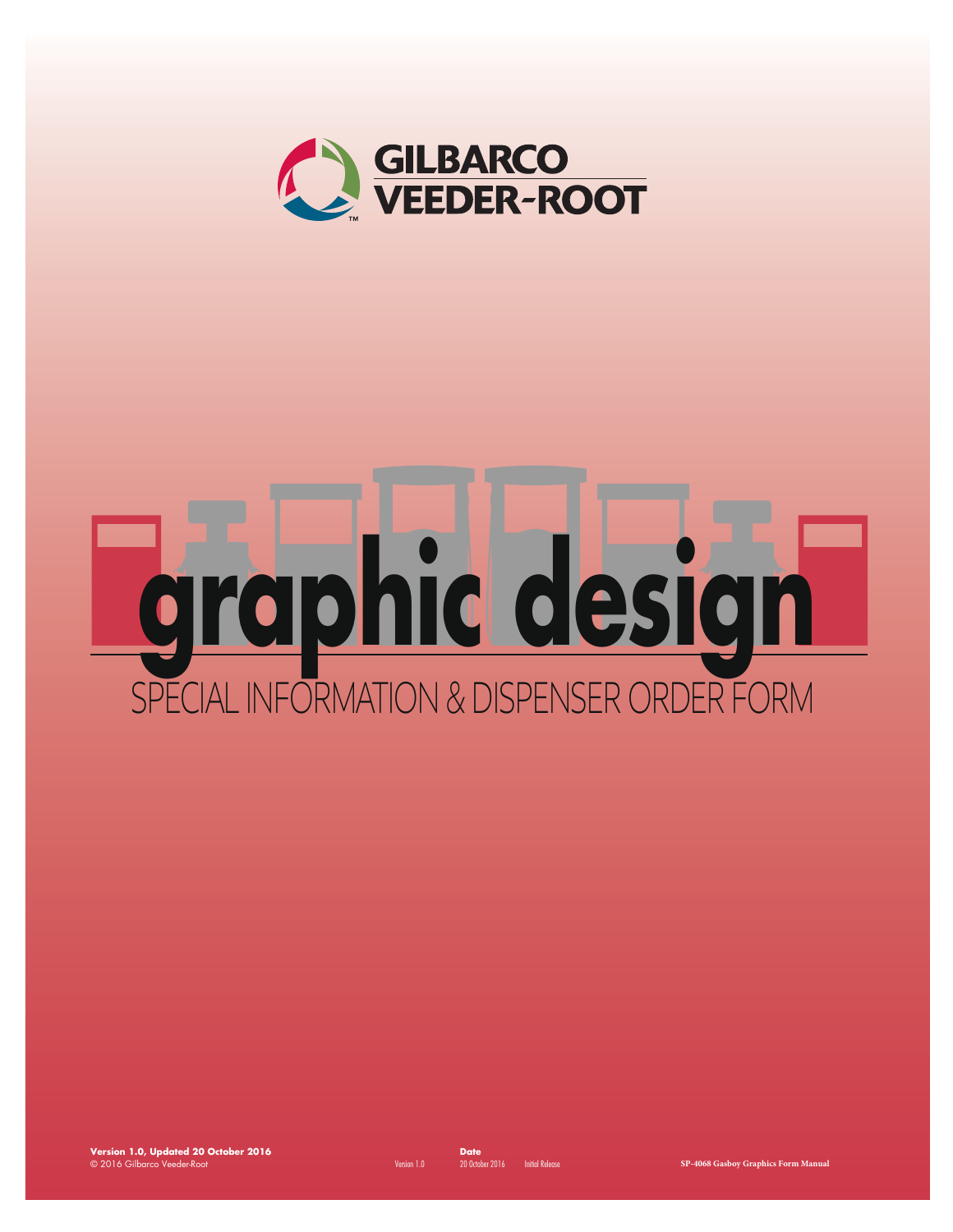

# **graphic design** SPECIAL INFORMATION & DISPENSER ORDER FORM

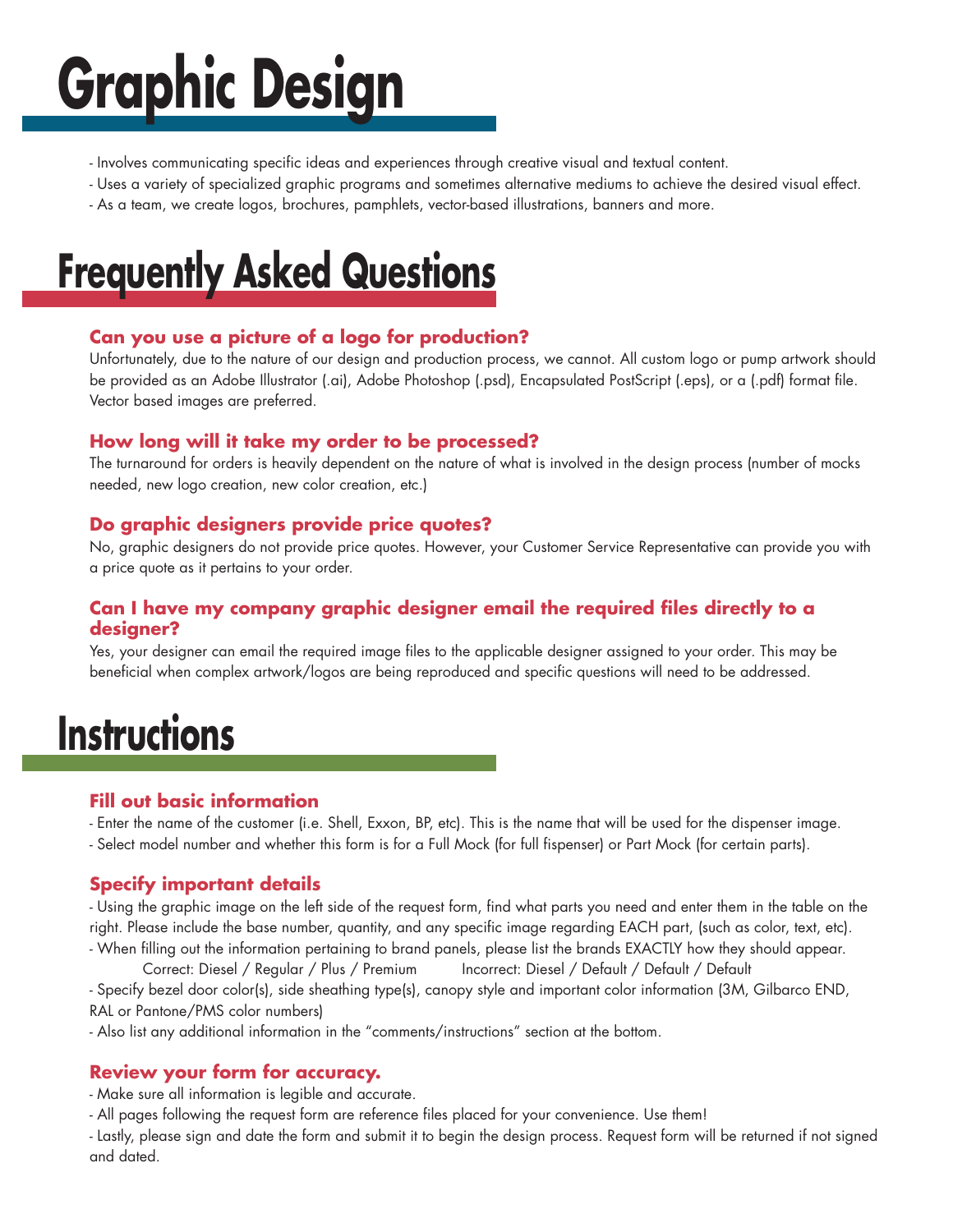## **Graphic Design**

- Involves communicating specific ideas and experiences through creative visual and textual content.
- Uses a variety of specialized graphic programs and sometimes alternative mediums to achieve the desired visual effect.
- As a team, we create logos, brochures, pamphlets, vector-based illustrations, banners and more.

## **Frequently Asked Questions**

#### **Can you use a picture of a logo for production?**

Unfortunately, due to the nature of our design and production process, we cannot. All custom logo or pump artwork should be provided as an Adobe Illustrator (.ai), Adobe Photoshop (.psd), Encapsulated PostScript (.eps), or a (.pdf) format file. Vector based images are preferred.

#### **How long will it take my order to be processed?**

The turnaround for orders is heavily dependent on the nature of what is involved in the design process (number of mocks needed, new logo creation, new color creation, etc.)

#### **Do graphic designers provide price quotes?**

No, graphic designers do not provide price quotes. However, your Customer Service Representative can provide you with a price quote as it pertains to your order.

#### **Can I have my company graphic designer email the required files directly to a designer?**

Yes, your designer can email the required image files to the applicable designer assigned to your order. This may be beneficial when complex artwork/logos are being reproduced and specific questions will need to be addressed.

### **Instructions**

#### **Fill out basic information**

- Enter the name of the customer (i.e. Shell, Exxon, BP, etc). This is the name that will be used for the dispenser image.
- Select model number and whether this form is for a Full Mock (for full fispenser) or Part Mock (for certain parts).

#### **Specify important details**

- Using the graphic image on the left side of the request form, find what parts you need and enter them in the table on the right. Please include the base number, quantity, and any specific image regarding EACH part, (such as color, text, etc). - When filling out the information pertaining to brand panels, please list the brands EXACTLY how they should appear.

Correct: Diesel / Regular / Plus / Premium Incorrect: Diesel / Default / Default / Default

- Specify bezel door color(s), side sheathing type(s), canopy style and important color information (3M, Gilbarco END, RAL or Pantone/PMS color numbers)

- Also list any additional information in the "comments/instructions" section at the bottom.

#### **Review your form for accuracy.**

- Make sure all information is legible and accurate.

- All pages following the request form are reference files placed for your convenience. Use them!

- Lastly, please sign and date the form and submit it to begin the design process. Request form will be returned if not signed and dated.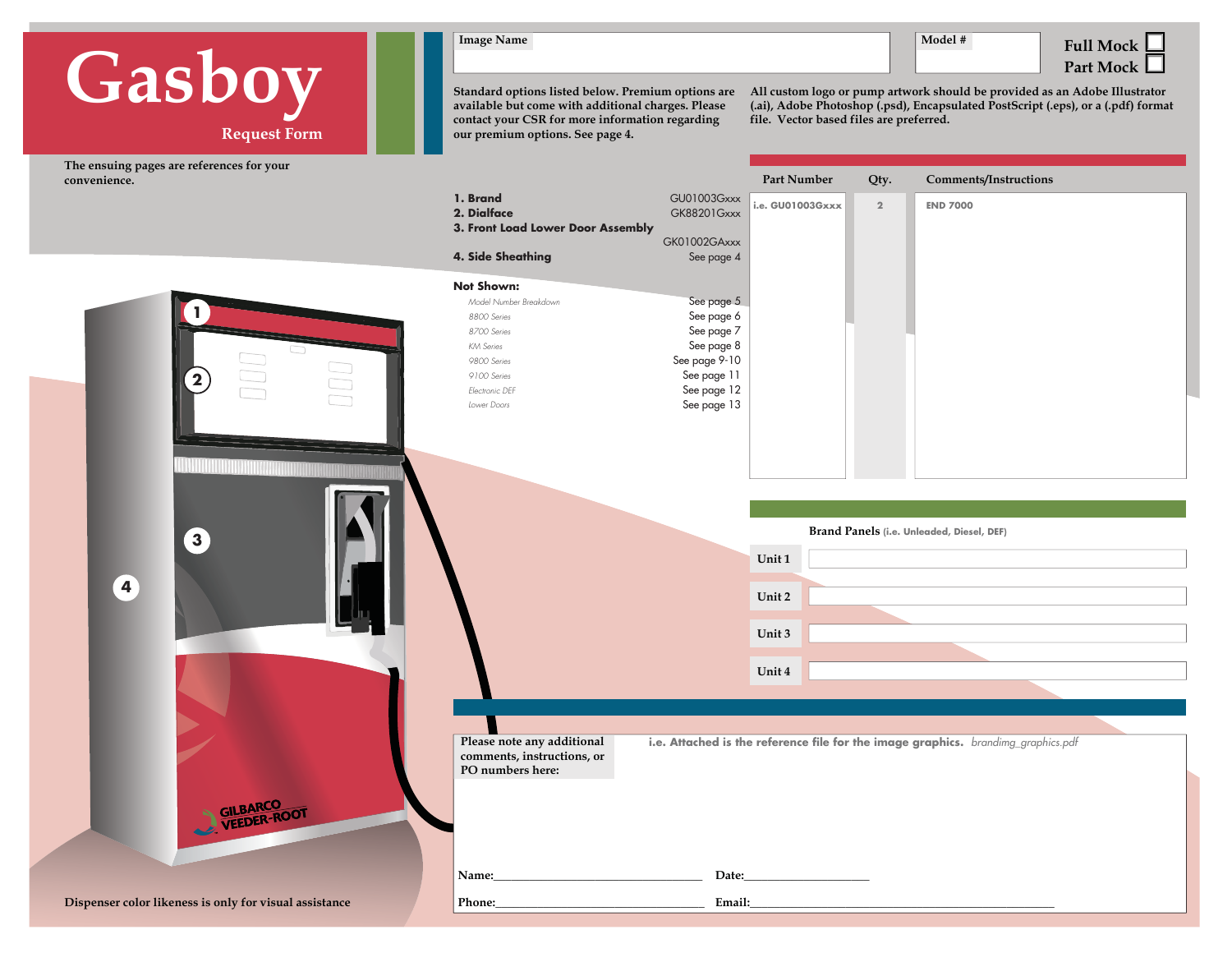## **Request Form Gasboy**

**1**

**2**

**3**

**4**

**The ensuing pages are references for your convenience.** 



**1. Brand2. Dialface**

**4. Side Sheathing**

 *Model Number Breakdown*

**Not Shown:**

 *8800 Series 8700 Series KM Series 9800 Series 9100 Series Electronic DEF Lower Doors*



**Standard options listed below. Premium options are available but come with additional charges. Please contact your CSR for more information regarding our premium options. See page 4.** 

> GU0100 GK8820 GK01002 See

**3. Front Load Lower Door Assembly**

**All custom logo or pump artwork should be provided as an Adobe Illustrator (.ai), Adobe Photoshop (.psd), Encapsulated PostScript (.eps), or a (.pdf) format file. Vector based files are preferred.** 

|                                   | Part Number      | Qty.           | <b>Comments/Instructions</b> |
|-----------------------------------|------------------|----------------|------------------------------|
| GU01003Gxxx<br><b>GK88201Gxxx</b> | i.e. GU01003Gxxx | $\overline{2}$ | <b>END 7000</b>              |
| K01002GAxxx                       |                  |                |                              |
| See page 4                        |                  |                |                              |
|                                   |                  |                |                              |
| See page 5<br>See page 6          |                  |                |                              |
| See page 7<br>See page 8          |                  |                |                              |
| See page 9-10                     |                  |                |                              |
| See page 11<br>See page 12        |                  |                |                              |
| See page 13                       |                  |                |                              |
|                                   |                  |                |                              |
|                                   |                  |                |                              |
|                                   |                  |                |                              |

**Unit 1 Unit 2Unit 3 Unit 4 Brand Panels (i.e. Unleaded, Diesel, DEF)**

**Please note any additional comments, instructions, or PO numbers here:**

**Name:\_\_\_\_\_\_\_\_\_\_\_\_\_\_\_\_\_\_\_\_\_\_\_\_\_\_\_\_\_\_\_\_\_\_\_ Date:\_\_\_\_\_\_\_\_\_\_\_\_\_\_\_\_\_\_\_\_\_**

**Phone:\_\_\_\_\_\_\_\_\_\_\_\_\_\_\_\_\_\_\_\_\_\_\_\_\_\_\_\_\_\_\_\_\_\_\_ Email:\_\_\_\_\_\_\_\_\_\_\_\_\_\_\_\_\_\_\_\_\_\_\_\_\_\_\_\_\_\_\_\_\_\_\_\_\_\_\_\_\_\_\_\_\_\_\_\_\_\_\_**

**i.e. Attached is the reference file for the image graphics.** *brandimg\_graphics.pdf*

**Dispenser color likeness is only for visual assistance**

**GILBARCO**<br>VEEDER-ROOT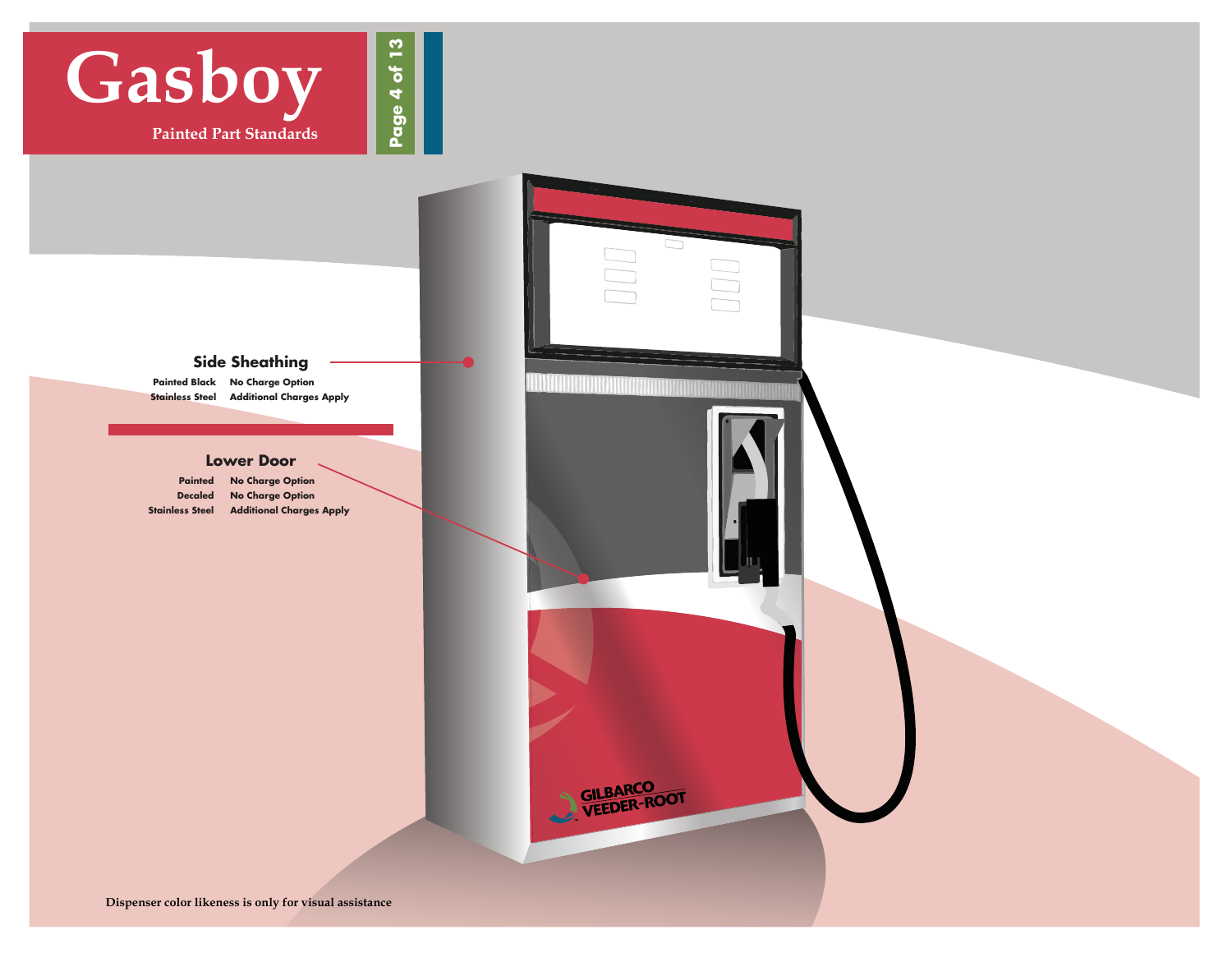

#### **Side Sheathing**

 **Painted Black No Charge Option Stainless Steel Additional Charges Apply** 

#### **Lower Door**

 **Painted No Charge Option Decaled No Charge Option Stainless Steel Additional Charges Apply**

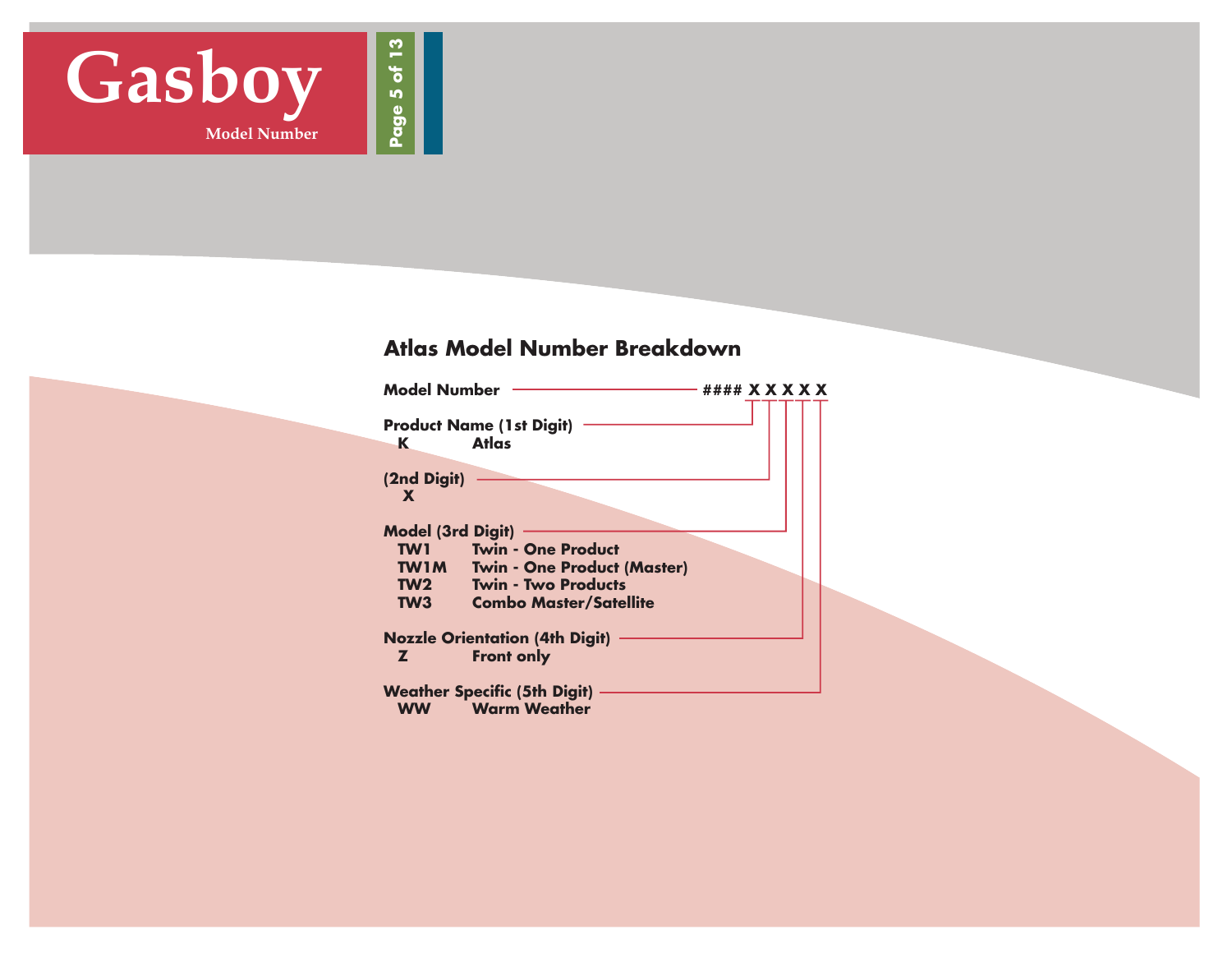

#### **Atlas Model Number Breakdown**

| <b>Model Number</b>                                          |                                                                                                                                | #### <b>X X X X X</b> |  |  |  |
|--------------------------------------------------------------|--------------------------------------------------------------------------------------------------------------------------------|-----------------------|--|--|--|
| K                                                            | <b>Product Name (1st Digit)</b><br>Atlas                                                                                       |                       |  |  |  |
| (2nd Digit)<br>X                                             |                                                                                                                                |                       |  |  |  |
| <b>Model (3rd Digit)</b><br>TW1<br><b>TW1M</b><br>TW2<br>TW3 | <b>Twin - One Product</b><br><b>Twin - One Product (Master)</b><br><b>Twin - Two Products</b><br><b>Combo Master/Satellite</b> |                       |  |  |  |
| Z.                                                           | <b>Nozzle Orientation (4th Digit)</b><br><b>Front only</b>                                                                     |                       |  |  |  |
| <b>WW</b>                                                    | <b>Weather Specific (5th Digit)</b><br><b>Warm Weather</b>                                                                     |                       |  |  |  |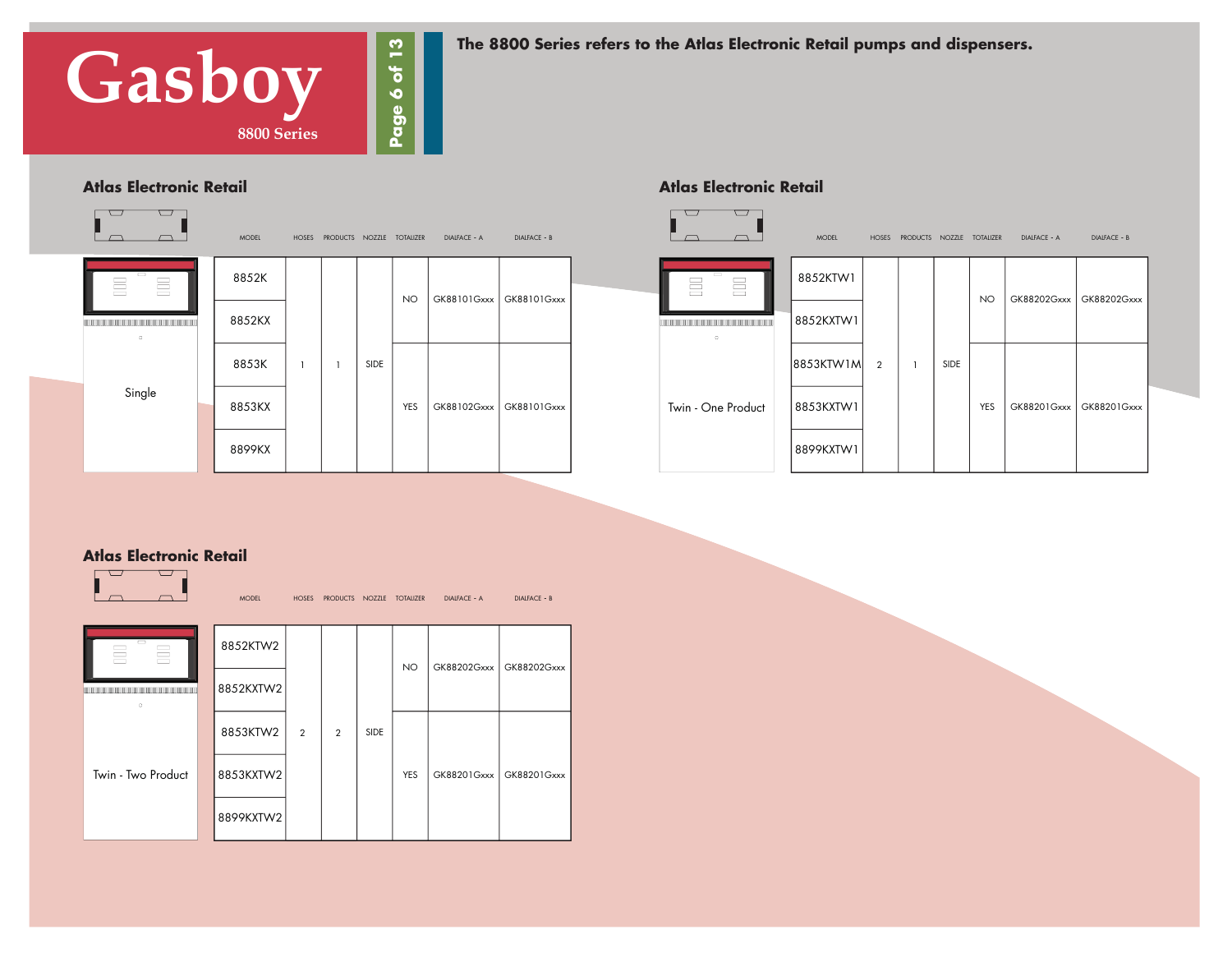

**The 8800 Series refers to the Atlas Electronic Retail pumps and dispensers.**

#### **Atlas Electronic Retail**



| <b>MODEL</b> | <b>HOSES</b> |             | PRODUCTS NOZZLE TOTALIZER | DIALFACE - A | DIALFACE - B              |                    | <b>MODEL</b> | HOSES          | PRODUCTS NOZZLE TOTALIZER |      |            | DIALFACE - A | DIALFACE - B |  |
|--------------|--------------|-------------|---------------------------|--------------|---------------------------|--------------------|--------------|----------------|---------------------------|------|------------|--------------|--------------|--|
| 852K         |              |             | <b>NO</b>                 |              | GK88101Gxxx   GK88101Gxxx | 昌<br>름             | 8852KTW1     |                |                           |      | <b>NO</b>  | GK88202Gxxx  | GK88202Gxxx  |  |
| 352KX        |              |             |                           |              |                           |                    | 8852KXTW1    |                |                           |      |            |              |              |  |
| 853K         |              | <b>SIDE</b> |                           |              |                           |                    | 8853KTW1M    | $\overline{2}$ |                           | SIDE |            |              |              |  |
| 353KX        |              |             | YES                       | GK88102Gxxx  | GK88101Gxxx               | Twin - One Product | 8853KXTW1    |                |                           |      | <b>YES</b> | GK88201Gxxx  | GK88201Gxxx  |  |
| 399KX        |              |             |                           |              |                           |                    | 8899KXTW1    |                |                           |      |            |              |              |  |

#### **Atlas Electronic Retail**

#### **Atlas Electronic Retail**

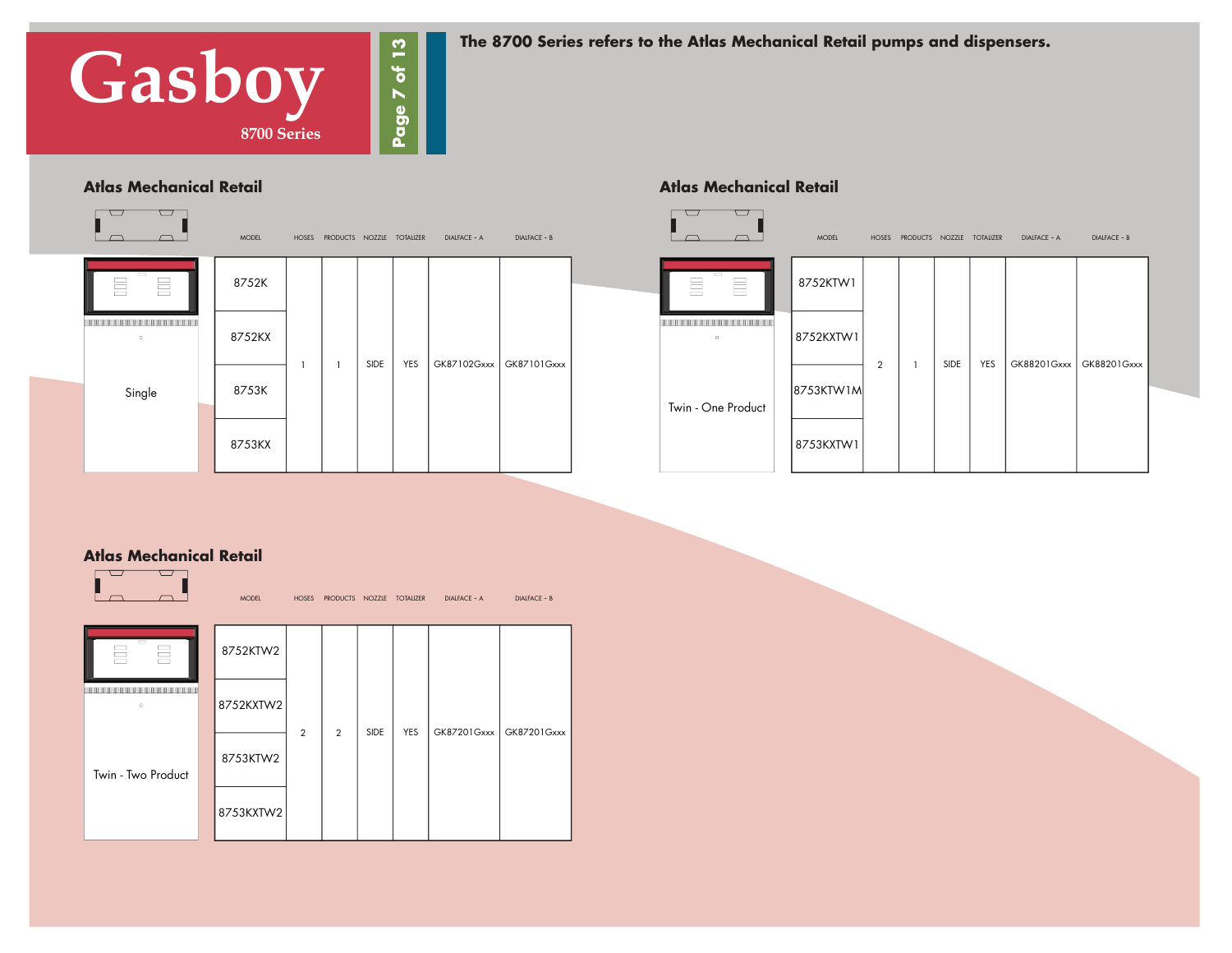

**The 8700 Series refers to the Atlas Mechanical Retail pumps and dispensers.** 

**Atlas Mechanical Retail**

#### **Atlas Mechanical Retail**



|      | S NOZZLE TOTALIZER | DIALFACE - A | DIALFACE - B |                                         | MODEL      | <b>HOSES</b>   | PRODUCTS NOZZLE TOTALIZER |      |     | DIALFACE - A | DIALFACE - B |  |
|------|--------------------|--------------|--------------|-----------------------------------------|------------|----------------|---------------------------|------|-----|--------------|--------------|--|
|      |                    |              |              | $\qquad \qquad$<br>$\equiv$<br>$\equiv$ | 8752KTW1   |                |                           |      |     |              |              |  |
| SIDE | YES                | GK87102Gxxx  | GK87101Gxxx  | D.                                      | 8752KXTW1  | $\overline{2}$ |                           | SIDE | YES | GK88201Gxxx  | GK88201Gxxx  |  |
|      |                    |              |              | Twin - One Product                      | 8753KTW1M  |                |                           |      |     |              |              |  |
|      |                    |              |              |                                         | 8753KXTW 1 |                |                           |      |     |              |              |  |

#### **Atlas Mechanical Retail**

|                                                                                            | <b>MODEL</b> | <b>HOSES</b>   | PRODUCTS NOZZLE TOTALIZER |             |            | <b>DIALFACE - A</b> | <b>DIALFACE - B</b> |
|--------------------------------------------------------------------------------------------|--------------|----------------|---------------------------|-------------|------------|---------------------|---------------------|
| D<br>昌<br>튼                                                                                | 8752KTW2     |                |                           |             |            |                     |                     |
| the contract of the contract of the contract of the contract of the contract of<br>$\circ$ | 8752KXTW2    | $\overline{2}$ | $\overline{2}$            | <b>SIDE</b> | <b>YES</b> | GK87201Gxxx         | GK87201Gxxx         |
| Twin - Two Product                                                                         | 8753KTW2     |                |                           |             |            |                     |                     |
|                                                                                            | 8753KXTW2    |                |                           |             |            |                     |                     |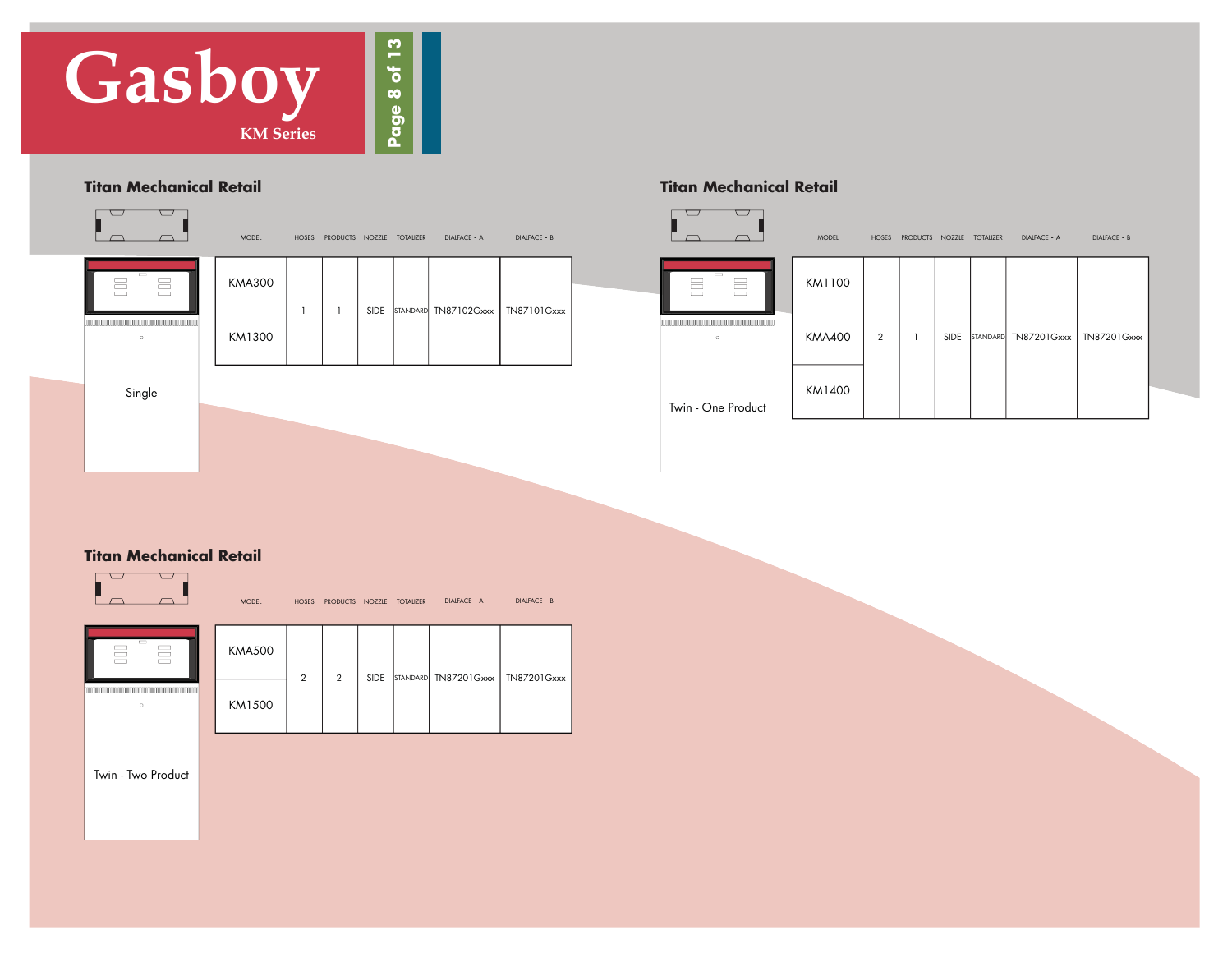

#### **Titan Mechanical Retail Titan Mechanical Retail**



| <b>MODEL</b> | <b>HOSES</b> | PRODUCTS NOZZLE |      | <b>TOTALIZER</b> | <b>DIALFACE - A</b> | <b>DIALFACE - B</b>                | $\sim$                      | $\overline{\phantom{0}}$<br>$\overline{\phantom{0}}$ | <b>MODEL</b> | <b>HOSES</b>   | PRODUCTS NOZZLE |      | <b>TOTALIZER</b> | <b>DIALFACE - A</b>  | DIALFACE - B |
|--------------|--------------|-----------------|------|------------------|---------------------|------------------------------------|-----------------------------|------------------------------------------------------|--------------|----------------|-----------------|------|------------------|----------------------|--------------|
| 4A300        |              |                 | SIDE |                  |                     | STANDARD TN87102Gxxx   TN87101Gxxx | $\qquad \qquad$<br>$\equiv$ | $\equiv$                                             | KM1100       |                |                 |      |                  |                      |              |
| A1300        |              |                 |      |                  |                     |                                    | $\circ$                     |                                                      | KMA400       | $\overline{2}$ |                 | SIDE |                  | STANDARD TN87201Gxxx | TN87201Gxxx  |
|              |              |                 |      |                  |                     |                                    |                             |                                                      | KM1400       |                |                 |      |                  |                      |              |

Twin - One Product

#### **Titan Mechanical Retail**



MODEL NOZZLE HOSES PRODUCTS TOTALIZER DIALFACE - A DIALFACE - B



| <b>KMA500</b> |              |   |             |                                    |  |
|---------------|--------------|---|-------------|------------------------------------|--|
|               | $\mathbf{2}$ | 2 | <b>SIDE</b> | STANDARD TN87201Gxxx   TN87201Gxxx |  |
| KM1500        |              |   |             |                                    |  |

Twin - Two Product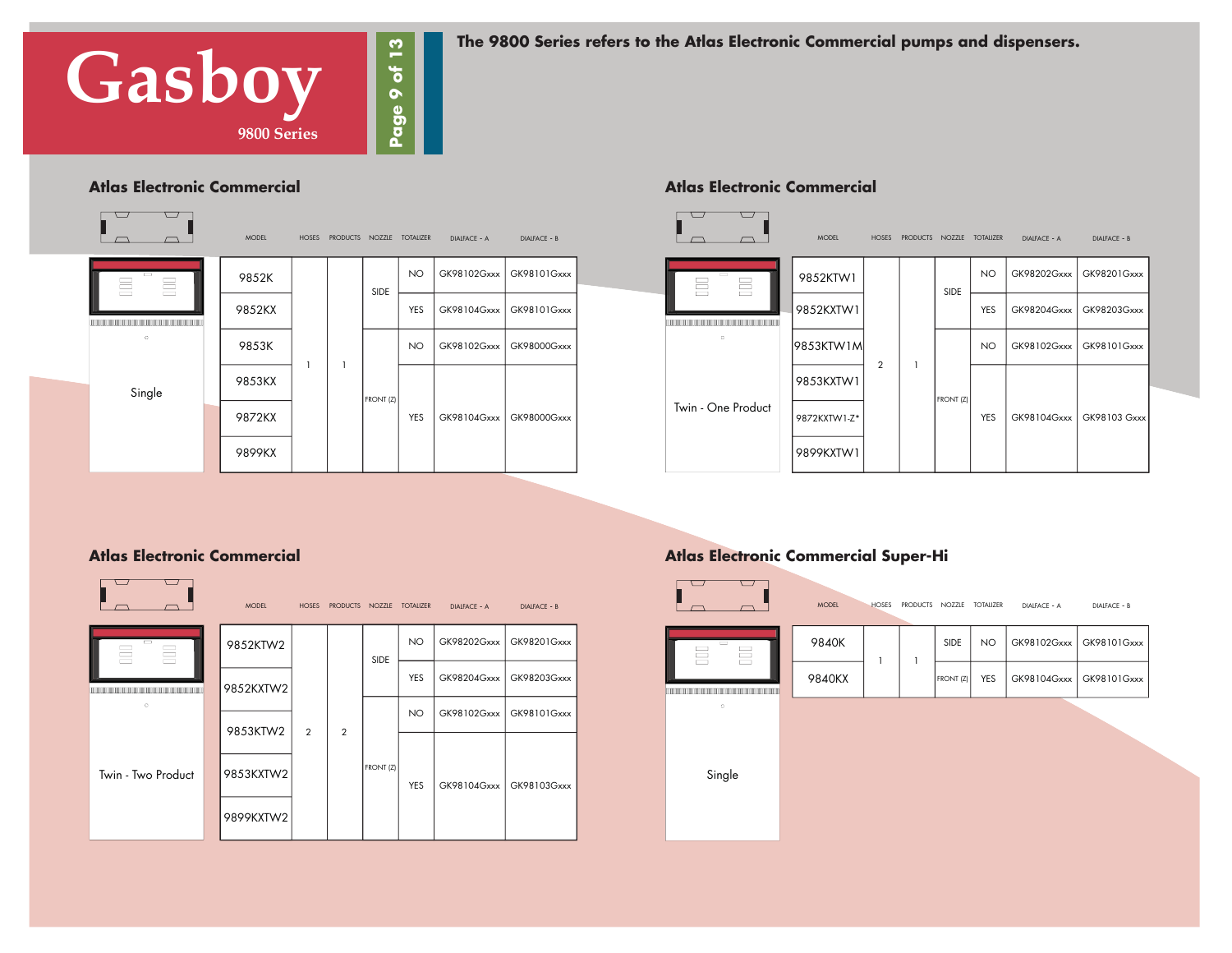

**The 9800 Series refers to the Atlas Electronic Commercial pumps and dispensers.**

#### **Atlas Electronic Commercial**

|                    | <b>MODEL</b> | <b>HOSES</b> | <b>PRODUCTS</b> | NOZZLE      | <b>TOTALIZER</b> | DIALFACE - A | <b>DIALFACE - B</b> |
|--------------------|--------------|--------------|-----------------|-------------|------------------|--------------|---------------------|
| $\equiv$<br>昌<br>昌 | 9852K        |              |                 | <b>SIDE</b> | <b>NO</b>        | GK98102Gxxx  | GK98101Gxxx         |
|                    | 9852KX       |              |                 |             | <b>YES</b>       | GK98104Gxxx  | GK98101Gxxx         |
| $\circ$            | 9853K        | 1            | $\mathbf{1}$    |             | NO               | GK98102Gxxx  | GK98000Gxxx         |
| Single             | 9853KX       |              |                 | FRONT (Z)   |                  |              |                     |
|                    | 9872KX       |              |                 |             | <b>YES</b>       | GK98104Gxxx  | GK98000Gxxx         |
|                    | 9899KX       |              |                 |             |                  |              |                     |

#### **Atlas Electronic Commercial**



#### **Atlas Electronic Commercial**

|                    | <b>MODEL</b> | <b>HOSES</b>   | PRODUCTS NOZZLE |             | <b>TOTALIZER</b> | <b>DIALFACE - A</b> | <b>DIALFACE - B</b> |
|--------------------|--------------|----------------|-----------------|-------------|------------------|---------------------|---------------------|
| −<br>E<br>昌        | 9852KTW2     |                |                 | <b>SIDE</b> | NO.              | GK98202Gxxx         | GK98201Gxxx         |
|                    | 9852KXTW2    |                |                 |             | <b>YES</b>       | GK98204Gxxx         | GK98203Gxxx         |
| $\circ$            | 9853KTW2     | $\overline{2}$ | $\overline{2}$  |             | NO.              | GK98102Gxxx         | GK98101Gxxx         |
|                    |              |                |                 | FRONT (Z)   |                  |                     |                     |
| Twin - Two Product | 9853KXTW2    |                |                 |             | <b>YES</b>       | GK98104Gxxx         | GK98103Gxxx         |
|                    | 9899KXTW2    |                |                 |             |                  |                     |                     |

#### **Atlas Electronic Commercial Super-Hi**

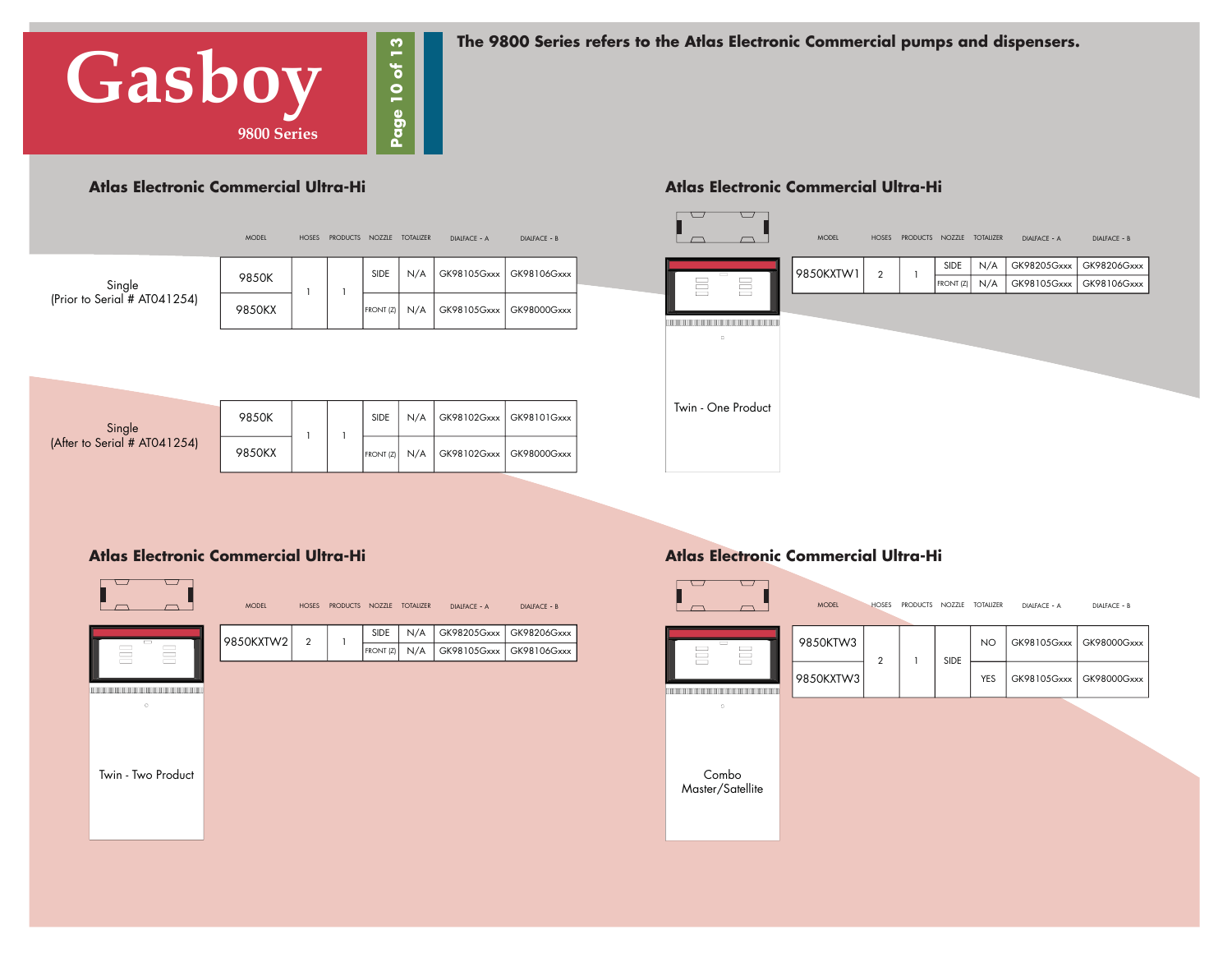

**The 9800 Series refers to the Atlas Electronic Commercial pumps and dispensers.**

#### **Atlas Electronic Commercial Ultra-Hi**

|                              | <b>MODEL</b> | <b>HOSES</b> | <b>PRODUCTS</b> | NOZZLE      | <b>TOTALIZER</b> | DIALFACE - A | <b>DIALFACE - B</b> |
|------------------------------|--------------|--------------|-----------------|-------------|------------------|--------------|---------------------|
| Single                       | 9850K        | 1            |                 | <b>SIDE</b> | N/A              | GK98105Gxxx  | GK98106Gxxx         |
| (Prior to Serial # AT041254) | 9850KX       |              |                 | FRONT (Z)   | N/A              | GK98105Gxxx  | GK98000Gxxx         |
|                              |              |              |                 |             |                  |              |                     |
|                              |              |              |                 |             |                  |              |                     |
| Single                       | 9850K        |              |                 | SIDE        | N/A              | GK98102Gxxx  | GK98101Gxxx         |

1

#### **Atlas Electronic Commercial Ultra-Hi**



#### **Atlas Electronic Commercial Ultra-Hi**

(After to Serial # AT041254)

9850KX

|                    | <b>MODEL</b> | <b>HOSES</b> | <b>PRODUCTS</b> | NOZZLE    | <b>TOTALIZER</b> | <b>DIALFACE - A</b> | DIALFACE - B |
|--------------------|--------------|--------------|-----------------|-----------|------------------|---------------------|--------------|
| $\sim$             | 9850KXTW2    | $\mathbf{2}$ | 1               | SIDE      | N/A              | GK98205Gxxx         | GK98206Gxxx  |
| Ħ<br>E             |              |              |                 | FRONT (Z) | N/A              | GK98105Gxxx         | GK98106Gxxx  |
|                    |              |              |                 |           |                  |                     |              |
|                    |              |              |                 |           |                  |                     |              |
| $\circ$            |              |              |                 |           |                  |                     |              |
|                    |              |              |                 |           |                  |                     |              |
|                    |              |              |                 |           |                  |                     |              |
| Twin - Two Product |              |              |                 |           |                  |                     |              |
|                    |              |              |                 |           |                  |                     |              |
|                    |              |              |                 |           |                  |                     |              |

N/A

GK98102Gxxx | GK98000Gxxx

FRONT (Z)

#### **Atlas Electronic Commercial Ultra-Hi**

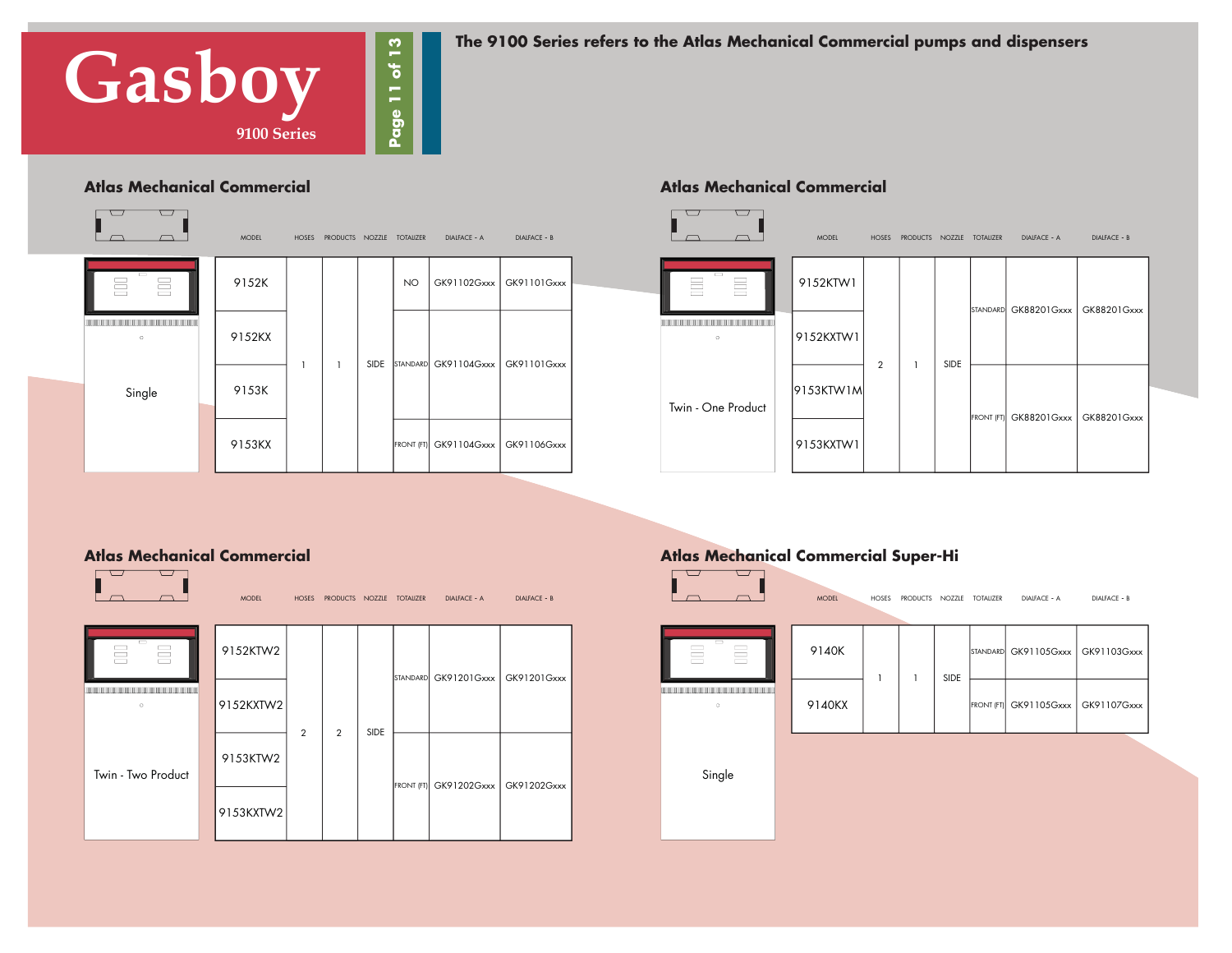

**The 9100 Series refers to the Atlas Mechanical Commercial pumps and dispensers** 



#### **Atlas Mechanical Commercial Atlas Mechanical Commercial**



#### **Atlas Mechanical Commercial**



#### **Atlas Mechanical Commercial Super-Hi**

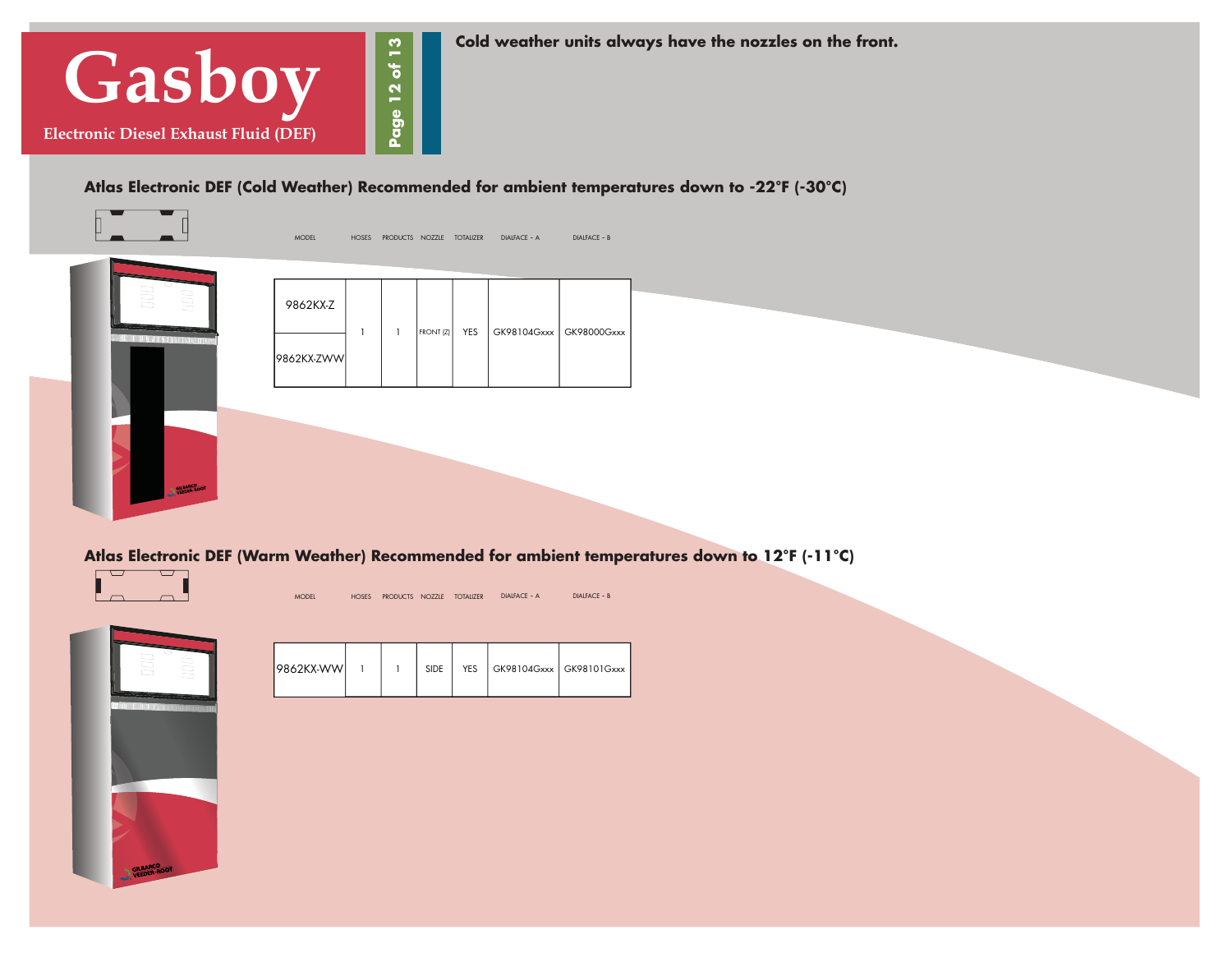

**Cold weather units always have the nozzles on the front.** 

**Atlas Electronic DEF (Cold Weather) Recommended for ambient temperatures down to -22°F (-30°C)**



**Atlas Electronic DEF (Warm Weather) Recommended for ambient temperatures down to 12°F (-11°C)**